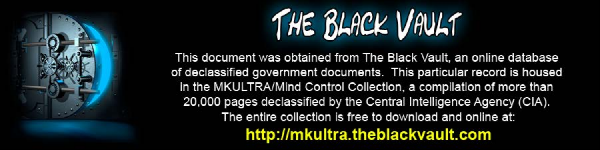

This document was obtained from The Black Vault, an online database of declassified government documents. This particular record is housed in the MKULTRA/Mind Control Collection, a compilation of more than 20,000 pages declassified by the Central Intelligence Agency (CIA). The entire collection is free to download and online at: http://mkultra.theblackvault.com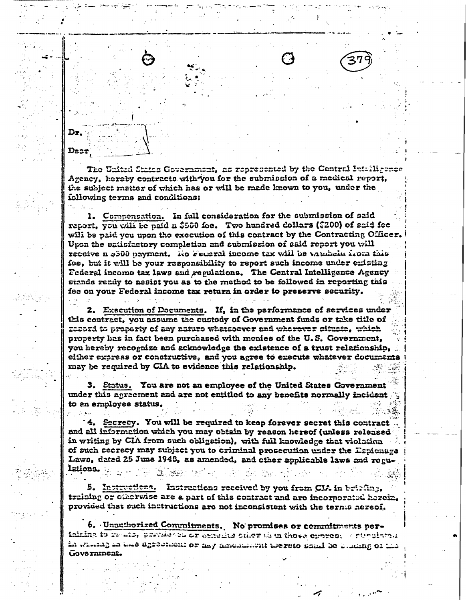The United States Covernment, as represented by the Central Intelligence Agency, hereby contracts with you for the submission of a medical report, the subject matter of which has or will be made known to you, under the following terms and conditions:

Dr.

 $\mathbf{D}_{3,21}$ 

1. Compensation. In full consideration for the submission of said report, you will be paid a \$500 fee. Two hundred dollars (\$200) of said fee will be paid you upon the execution of this contract by the Contracting Officer. Upon the unisinatory completion and submission of said report you will receive a s500 payment. No Feueral income tax will be varifield from this fee, but it will be your responsibility to report such income under existing Federal income tax laws and regulations. The Central Intelligence Agency stands ready to assist you as to the method to be followed in reporting this fee on your Federal income tax return in order to preserve security.

2. Execution of Documents. If, in the performance of services under this contract, you assume the custody of Government funds or take title of record to property of any nature whatsoever and whorever situate, which property has in fact been purchased with monies of the U.S. Government, you hereby recognize and acknowledge the existence of a trust relationship. either express or constructive, and you agree to execute whatever documents may be required by CIA to evidence this relationship.

3. Status. You are not an employee of the United States Government under this agreement and are not entitled to any benefits normally incident to an employee status.

Secrecy. You will be required to keep forever secret this contract and all information which you may obtain by reason hereof (unless released in writing by CIA from such obligation), with full knowledge that violation of such secrecy may subject you to criminal prosecution under the Espionage Laws, dated 25 June 1948, as amended, and other applicable laws and regulations. 10월 19일 - 1월 19일 - 19

ИW.

Instructions received by you from CIA in briefing, 5. Instructions. training or officitwise are a part of this contract and are incorporated herein, provided that such instructions are not inconsistent with the terms nereof.

6. Unauthorized Commitments. No promises or commitments perining to really previous or emadia clier is in those eremon a stigulatos. in whening an each agroundent or any amonoment wereto saml be busing of the Government.